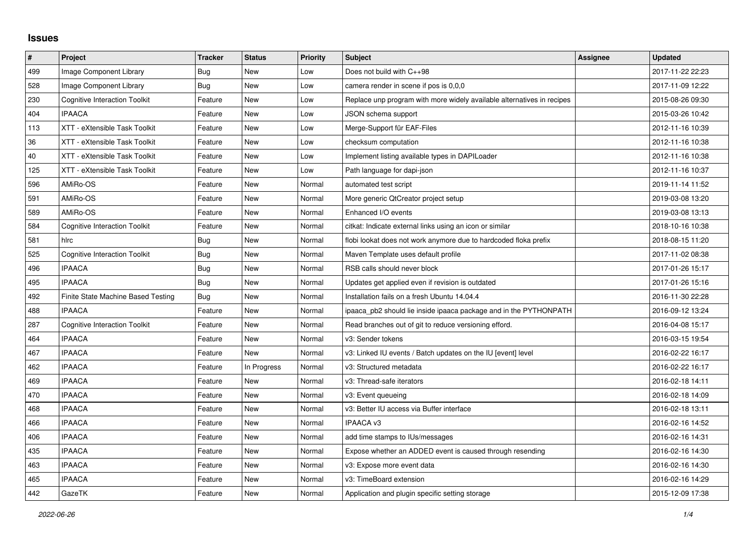## **Issues**

| #   | Project                              | <b>Tracker</b> | <b>Status</b> | <b>Priority</b> | <b>Subject</b>                                                         | Assignee | <b>Updated</b>   |
|-----|--------------------------------------|----------------|---------------|-----------------|------------------------------------------------------------------------|----------|------------------|
| 499 | Image Component Library              | Bug            | New           | Low             | Does not build with C++98                                              |          | 2017-11-22 22:23 |
| 528 | Image Component Library              | Bug            | <b>New</b>    | Low             | camera render in scene if pos is 0.0.0                                 |          | 2017-11-09 12:22 |
| 230 | <b>Cognitive Interaction Toolkit</b> | Feature        | New           | Low             | Replace unp program with more widely available alternatives in recipes |          | 2015-08-26 09:30 |
| 404 | <b>IPAACA</b>                        | Feature        | New           | Low             | JSON schema support                                                    |          | 2015-03-26 10:42 |
| 113 | XTT - eXtensible Task Toolkit        | Feature        | <b>New</b>    | Low             | Merge-Support für EAF-Files                                            |          | 2012-11-16 10:39 |
| 36  | XTT - eXtensible Task Toolkit        | Feature        | New           | Low             | checksum computation                                                   |          | 2012-11-16 10:38 |
| 40  | XTT - eXtensible Task Toolkit        | Feature        | <b>New</b>    | Low             | Implement listing available types in DAPILoader                        |          | 2012-11-16 10:38 |
| 125 | XTT - eXtensible Task Toolkit        | Feature        | New           | Low             | Path language for dapi-json                                            |          | 2012-11-16 10:37 |
| 596 | AMiRo-OS                             | Feature        | New           | Normal          | automated test script                                                  |          | 2019-11-14 11:52 |
| 591 | AMiRo-OS                             | Feature        | New           | Normal          | More generic QtCreator project setup                                   |          | 2019-03-08 13:20 |
| 589 | AMiRo-OS                             | Feature        | <b>New</b>    | Normal          | Enhanced I/O events                                                    |          | 2019-03-08 13:13 |
| 584 | <b>Cognitive Interaction Toolkit</b> | Feature        | New           | Normal          | citkat: Indicate external links using an icon or similar               |          | 2018-10-16 10:38 |
| 581 | hlrc                                 | Bug            | <b>New</b>    | Normal          | flobi lookat does not work anymore due to hardcoded floka prefix       |          | 2018-08-15 11:20 |
| 525 | <b>Cognitive Interaction Toolkit</b> | Bug            | New           | Normal          | Maven Template uses default profile                                    |          | 2017-11-02 08:38 |
| 496 | <b>IPAACA</b>                        | Bug            | <b>New</b>    | Normal          | RSB calls should never block                                           |          | 2017-01-26 15:17 |
| 495 | <b>IPAACA</b>                        | <b>Bug</b>     | New           | Normal          | Updates get applied even if revision is outdated                       |          | 2017-01-26 15:16 |
| 492 | Finite State Machine Based Testing   | Bug            | New           | Normal          | Installation fails on a fresh Ubuntu 14.04.4                           |          | 2016-11-30 22:28 |
| 488 | <b>IPAACA</b>                        | Feature        | <b>New</b>    | Normal          | ipaaca_pb2 should lie inside ipaaca package and in the PYTHONPATH      |          | 2016-09-12 13:24 |
| 287 | <b>Cognitive Interaction Toolkit</b> | Feature        | <b>New</b>    | Normal          | Read branches out of git to reduce versioning efford.                  |          | 2016-04-08 15:17 |
| 464 | <b>IPAACA</b>                        | Feature        | New           | Normal          | v3: Sender tokens                                                      |          | 2016-03-15 19:54 |
| 467 | <b>IPAACA</b>                        | Feature        | <b>New</b>    | Normal          | v3: Linked IU events / Batch updates on the IU [event] level           |          | 2016-02-22 16:17 |
| 462 | <b>IPAACA</b>                        | Feature        | In Progress   | Normal          | v3: Structured metadata                                                |          | 2016-02-22 16:17 |
| 469 | <b>IPAACA</b>                        | Feature        | <b>New</b>    | Normal          | v3: Thread-safe iterators                                              |          | 2016-02-18 14:11 |
| 470 | <b>IPAACA</b>                        | Feature        | New           | Normal          | v3: Event queueing                                                     |          | 2016-02-18 14:09 |
| 468 | <b>IPAACA</b>                        | Feature        | <b>New</b>    | Normal          | v3: Better IU access via Buffer interface                              |          | 2016-02-18 13:11 |
| 466 | <b>IPAACA</b>                        | Feature        | New           | Normal          | <b>IPAACA v3</b>                                                       |          | 2016-02-16 14:52 |
| 406 | <b>IPAACA</b>                        | Feature        | <b>New</b>    | Normal          | add time stamps to IUs/messages                                        |          | 2016-02-16 14:31 |
| 435 | <b>IPAACA</b>                        | Feature        | <b>New</b>    | Normal          | Expose whether an ADDED event is caused through resending              |          | 2016-02-16 14:30 |
| 463 | <b>IPAACA</b>                        | Feature        | New           | Normal          | v3: Expose more event data                                             |          | 2016-02-16 14:30 |
| 465 | <b>IPAACA</b>                        | Feature        | <b>New</b>    | Normal          | v3: TimeBoard extension                                                |          | 2016-02-16 14:29 |
| 442 | GazeTK                               | Feature        | <b>New</b>    | Normal          | Application and plugin specific setting storage                        |          | 2015-12-09 17:38 |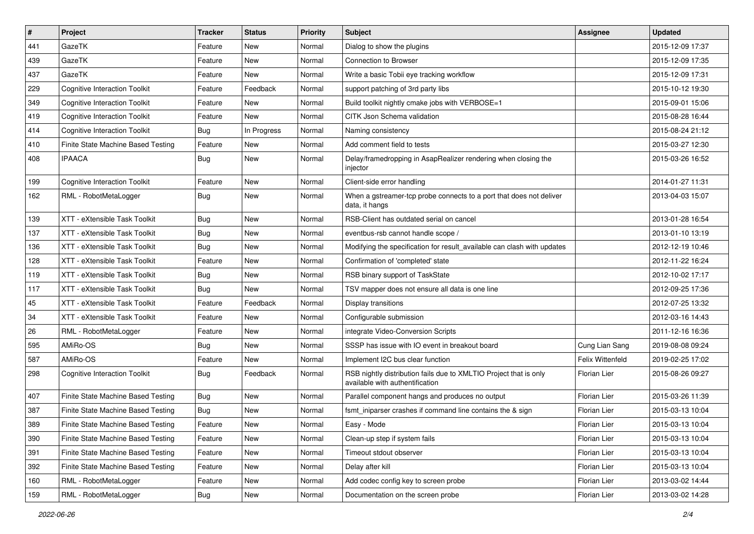| #   | Project                              | <b>Tracker</b> | <b>Status</b> | <b>Priority</b> | Subject                                                                                              | Assignee            | <b>Updated</b>   |
|-----|--------------------------------------|----------------|---------------|-----------------|------------------------------------------------------------------------------------------------------|---------------------|------------------|
| 441 | GazeTK                               | Feature        | New           | Normal          | Dialog to show the plugins                                                                           |                     | 2015-12-09 17:37 |
| 439 | GazeTK                               | Feature        | <b>New</b>    | Normal          | <b>Connection to Browser</b>                                                                         |                     | 2015-12-09 17:35 |
| 437 | GazeTK                               | Feature        | New           | Normal          | Write a basic Tobii eye tracking workflow                                                            |                     | 2015-12-09 17:31 |
| 229 | <b>Cognitive Interaction Toolkit</b> | Feature        | Feedback      | Normal          | support patching of 3rd party libs                                                                   |                     | 2015-10-12 19:30 |
| 349 | <b>Cognitive Interaction Toolkit</b> | Feature        | <b>New</b>    | Normal          | Build toolkit nightly cmake jobs with VERBOSE=1                                                      |                     | 2015-09-01 15:06 |
| 419 | <b>Cognitive Interaction Toolkit</b> | Feature        | New           | Normal          | CITK Json Schema validation                                                                          |                     | 2015-08-28 16:44 |
| 414 | <b>Cognitive Interaction Toolkit</b> | Bug            | In Progress   | Normal          | Naming consistency                                                                                   |                     | 2015-08-24 21:12 |
| 410 | Finite State Machine Based Testing   | Feature        | New           | Normal          | Add comment field to tests                                                                           |                     | 2015-03-27 12:30 |
| 408 | <b>IPAACA</b>                        | <b>Bug</b>     | New           | Normal          | Delay/framedropping in AsapRealizer rendering when closing the<br>injector                           |                     | 2015-03-26 16:52 |
| 199 | <b>Cognitive Interaction Toolkit</b> | Feature        | <b>New</b>    | Normal          | Client-side error handling                                                                           |                     | 2014-01-27 11:31 |
| 162 | RML - RobotMetaLogger                | Bug            | New           | Normal          | When a gstreamer-tcp probe connects to a port that does not deliver<br>data, it hangs                |                     | 2013-04-03 15:07 |
| 139 | XTT - eXtensible Task Toolkit        | <b>Bug</b>     | <b>New</b>    | Normal          | RSB-Client has outdated serial on cancel                                                             |                     | 2013-01-28 16:54 |
| 137 | XTT - eXtensible Task Toolkit        | Bug            | New           | Normal          | eventbus-rsb cannot handle scope /                                                                   |                     | 2013-01-10 13:19 |
| 136 | XTT - eXtensible Task Toolkit        | Bug            | New           | Normal          | Modifying the specification for result_available can clash with updates                              |                     | 2012-12-19 10:46 |
| 128 | XTT - eXtensible Task Toolkit        | Feature        | New           | Normal          | Confirmation of 'completed' state                                                                    |                     | 2012-11-22 16:24 |
| 119 | XTT - eXtensible Task Toolkit        | Bug            | <b>New</b>    | Normal          | RSB binary support of TaskState                                                                      |                     | 2012-10-02 17:17 |
| 117 | XTT - eXtensible Task Toolkit        | <b>Bug</b>     | New           | Normal          | TSV mapper does not ensure all data is one line                                                      |                     | 2012-09-25 17:36 |
| 45  | XTT - eXtensible Task Toolkit        | Feature        | Feedback      | Normal          | Display transitions                                                                                  |                     | 2012-07-25 13:32 |
| 34  | XTT - eXtensible Task Toolkit        | Feature        | <b>New</b>    | Normal          | Configurable submission                                                                              |                     | 2012-03-16 14:43 |
| 26  | RML - RobotMetaLogger                | Feature        | New           | Normal          | integrate Video-Conversion Scripts                                                                   |                     | 2011-12-16 16:36 |
| 595 | AMiRo-OS                             | <b>Bug</b>     | <b>New</b>    | Normal          | SSSP has issue with IO event in breakout board                                                       | Cung Lian Sang      | 2019-08-08 09:24 |
| 587 | AMiRo-OS                             | Feature        | <b>New</b>    | Normal          | Implement I2C bus clear function                                                                     | Felix Wittenfeld    | 2019-02-25 17:02 |
| 298 | <b>Cognitive Interaction Toolkit</b> | Bug            | Feedback      | Normal          | RSB nightly distribution fails due to XMLTIO Project that is only<br>available with authentification | <b>Florian Lier</b> | 2015-08-26 09:27 |
| 407 | Finite State Machine Based Testing   | Bug            | New           | Normal          | Parallel component hangs and produces no output                                                      | <b>Florian Lier</b> | 2015-03-26 11:39 |
| 387 | Finite State Machine Based Testing   | Bug            | New           | Normal          | fsmt_iniparser crashes if command line contains the & sign                                           | <b>Florian Lier</b> | 2015-03-13 10:04 |
| 389 | Finite State Machine Based Testing   | Feature        | New           | Normal          | Easy - Mode                                                                                          | Florian Lier        | 2015-03-13 10:04 |
| 390 | Finite State Machine Based Testing   | Feature        | New           | Normal          | Clean-up step if system fails                                                                        | Florian Lier        | 2015-03-13 10:04 |
| 391 | Finite State Machine Based Testing   | Feature        | New           | Normal          | Timeout stdout observer                                                                              | Florian Lier        | 2015-03-13 10:04 |
| 392 | Finite State Machine Based Testing   | Feature        | New           | Normal          | Delay after kill                                                                                     | Florian Lier        | 2015-03-13 10:04 |
| 160 | RML - RobotMetaLogger                | Feature        | New           | Normal          | Add codec config key to screen probe                                                                 | Florian Lier        | 2013-03-02 14:44 |
| 159 | RML - RobotMetaLogger                | Bug            | New           | Normal          | Documentation on the screen probe                                                                    | Florian Lier        | 2013-03-02 14:28 |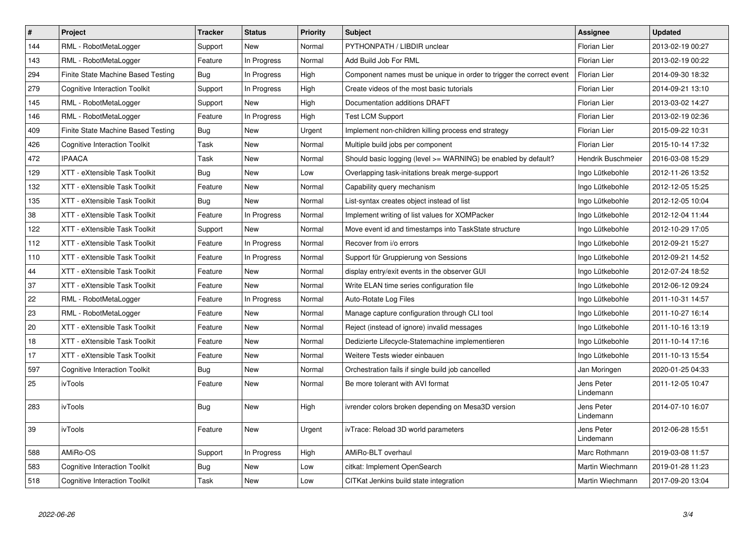| #   | Project                              | <b>Tracker</b> | <b>Status</b> | <b>Priority</b> | <b>Subject</b>                                                       | <b>Assignee</b>         | <b>Updated</b>   |
|-----|--------------------------------------|----------------|---------------|-----------------|----------------------------------------------------------------------|-------------------------|------------------|
| 144 | RML - RobotMetaLogger                | Support        | <b>New</b>    | Normal          | PYTHONPATH / LIBDIR unclear                                          | <b>Florian Lier</b>     | 2013-02-19 00:27 |
| 143 | RML - RobotMetaLogger                | Feature        | In Progress   | Normal          | Add Build Job For RML                                                | Florian Lier            | 2013-02-19 00:22 |
| 294 | Finite State Machine Based Testing   | <b>Bug</b>     | In Progress   | High            | Component names must be unique in order to trigger the correct event | <b>Florian Lier</b>     | 2014-09-30 18:32 |
| 279 | <b>Cognitive Interaction Toolkit</b> | Support        | In Progress   | High            | Create videos of the most basic tutorials                            | <b>Florian Lier</b>     | 2014-09-21 13:10 |
| 145 | RML - RobotMetaLogger                | Support        | New           | High            | Documentation additions DRAFT                                        | <b>Florian Lier</b>     | 2013-03-02 14:27 |
| 146 | RML - RobotMetaLogger                | Feature        | In Progress   | High            | <b>Test LCM Support</b>                                              | <b>Florian Lier</b>     | 2013-02-19 02:36 |
| 409 | Finite State Machine Based Testing   | Bug            | New           | Urgent          | Implement non-children killing process end strategy                  | <b>Florian Lier</b>     | 2015-09-22 10:31 |
| 426 | <b>Cognitive Interaction Toolkit</b> | Task           | New           | Normal          | Multiple build jobs per component                                    | <b>Florian Lier</b>     | 2015-10-14 17:32 |
| 472 | <b>IPAACA</b>                        | Task           | New           | Normal          | Should basic logging (level >= WARNING) be enabled by default?       | Hendrik Buschmeier      | 2016-03-08 15:29 |
| 129 | XTT - eXtensible Task Toolkit        | <b>Bug</b>     | <b>New</b>    | Low             | Overlapping task-initations break merge-support                      | Ingo Lütkebohle         | 2012-11-26 13:52 |
| 132 | XTT - eXtensible Task Toolkit        | Feature        | New           | Normal          | Capability query mechanism                                           | Ingo Lütkebohle         | 2012-12-05 15:25 |
| 135 | XTT - eXtensible Task Toolkit        | Bug            | New           | Normal          | List-syntax creates object instead of list                           | Ingo Lütkebohle         | 2012-12-05 10:04 |
| 38  | XTT - eXtensible Task Toolkit        | Feature        | In Progress   | Normal          | Implement writing of list values for XOMPacker                       | Ingo Lütkebohle         | 2012-12-04 11:44 |
| 122 | XTT - eXtensible Task Toolkit        | Support        | New           | Normal          | Move event id and timestamps into TaskState structure                | Ingo Lütkebohle         | 2012-10-29 17:05 |
| 112 | XTT - eXtensible Task Toolkit        | Feature        | In Progress   | Normal          | Recover from i/o errors                                              | Ingo Lütkebohle         | 2012-09-21 15:27 |
| 110 | XTT - eXtensible Task Toolkit        | Feature        | In Progress   | Normal          | Support für Gruppierung von Sessions                                 | Ingo Lütkebohle         | 2012-09-21 14:52 |
| 44  | XTT - eXtensible Task Toolkit        | Feature        | New           | Normal          | display entry/exit events in the observer GUI                        | Ingo Lütkebohle         | 2012-07-24 18:52 |
| 37  | XTT - eXtensible Task Toolkit        | Feature        | New           | Normal          | Write ELAN time series configuration file                            | Ingo Lütkebohle         | 2012-06-12 09:24 |
| 22  | RML - RobotMetaLogger                | Feature        | In Progress   | Normal          | Auto-Rotate Log Files                                                | Ingo Lütkebohle         | 2011-10-31 14:57 |
| 23  | RML - RobotMetaLogger                | Feature        | New           | Normal          | Manage capture configuration through CLI tool                        | Ingo Lütkebohle         | 2011-10-27 16:14 |
| 20  | XTT - eXtensible Task Toolkit        | Feature        | New           | Normal          | Reject (instead of ignore) invalid messages                          | Ingo Lütkebohle         | 2011-10-16 13:19 |
| 18  | XTT - eXtensible Task Toolkit        | Feature        | New           | Normal          | Dedizierte Lifecycle-Statemachine implementieren                     | Ingo Lütkebohle         | 2011-10-14 17:16 |
| 17  | XTT - eXtensible Task Toolkit        | Feature        | New           | Normal          | Weitere Tests wieder einbauen                                        | Ingo Lütkebohle         | 2011-10-13 15:54 |
| 597 | <b>Cognitive Interaction Toolkit</b> | Bug            | New           | Normal          | Orchestration fails if single build job cancelled                    | Jan Moringen            | 2020-01-25 04:33 |
| 25  | ivTools                              | Feature        | New           | Normal          | Be more tolerant with AVI format                                     | Jens Peter<br>Lindemann | 2011-12-05 10:47 |
| 283 | ivTools                              | Bug            | <b>New</b>    | High            | ivrender colors broken depending on Mesa3D version                   | Jens Peter<br>Lindemann | 2014-07-10 16:07 |
| 39  | ivTools                              | Feature        | New           | Urgent          | ivTrace: Reload 3D world parameters                                  | Jens Peter<br>Lindemann | 2012-06-28 15:51 |
| 588 | AMiRo-OS                             | Support        | In Progress   | High            | AMiRo-BLT overhaul                                                   | Marc Rothmann           | 2019-03-08 11:57 |
| 583 | <b>Cognitive Interaction Toolkit</b> | Bug            | New           | Low             | citkat: Implement OpenSearch                                         | Martin Wiechmann        | 2019-01-28 11:23 |
| 518 | <b>Cognitive Interaction Toolkit</b> | Task           | New           | Low             | CITKat Jenkins build state integration                               | Martin Wiechmann        | 2017-09-20 13:04 |